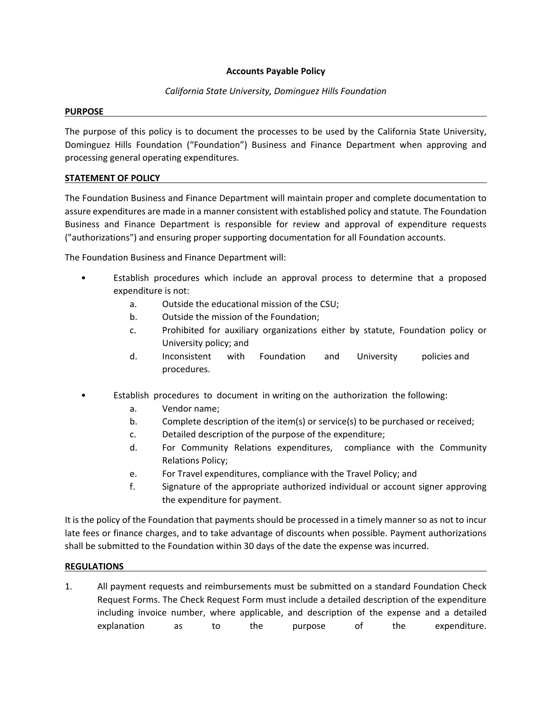## **Accounts Payable Policy**

# *California State University, Dominguez Hills Foundation*

#### **PURPOSE**

The purpose of this policy is to document the processes to be used by the California State University, Dominguez Hills Foundation ("Foundation") Business and Finance Department when approving and processing general operating expenditures.

## **STATEMENT OF POLICY**

The Foundation Business and Finance Department will maintain proper and complete documentation to assure expenditures are made in a manner consistent with established policy and statute. The Foundation Business and Finance Department is responsible for review and approval of expenditure requests ("authorizations") and ensuring proper supporting documentation for all Foundation accounts.

The Foundation Business and Finance Department will:

- Establish procedures which include an approval process to determine that a proposed expenditure is not:
	- a. Outside the educational mission of the CSU;
	- b. Outside the mission of the Foundation;
	- c. Prohibited for auxiliary organizations either by statute, Foundation policy or University policy; and
	- d. Inconsistent with Foundation and University policies and procedures.
- Establish procedures to document in writing on the authorization the following:
	- a. Vendor name;
	- b. Complete description of the item(s) or service(s) to be purchased or received;
	- c. Detailed description of the purpose of the expenditure;
	- d. For Community Relations expenditures, compliance with the Community Relations Policy;
	- e. For Travel expenditures, compliance with the Travel Policy; and
	- f. Signature of the appropriate authorized individual or account signer approving the expenditure for payment.

It is the policy of the Foundation that payments should be processed in a timely manner so as not to incur late fees or finance charges, and to take advantage of discounts when possible. Payment authorizations shall be submitted to the Foundation within 30 days of the date the expense was incurred.

### **REGULATIONS**

1. All payment requests and reimbursements must be submitted on a standard Foundation Check Request Forms. The Check Request Form must include a detailed description of the expenditure including invoice number, where applicable, and description of the expense and a detailed explanation as to the purpose of the expenditure.